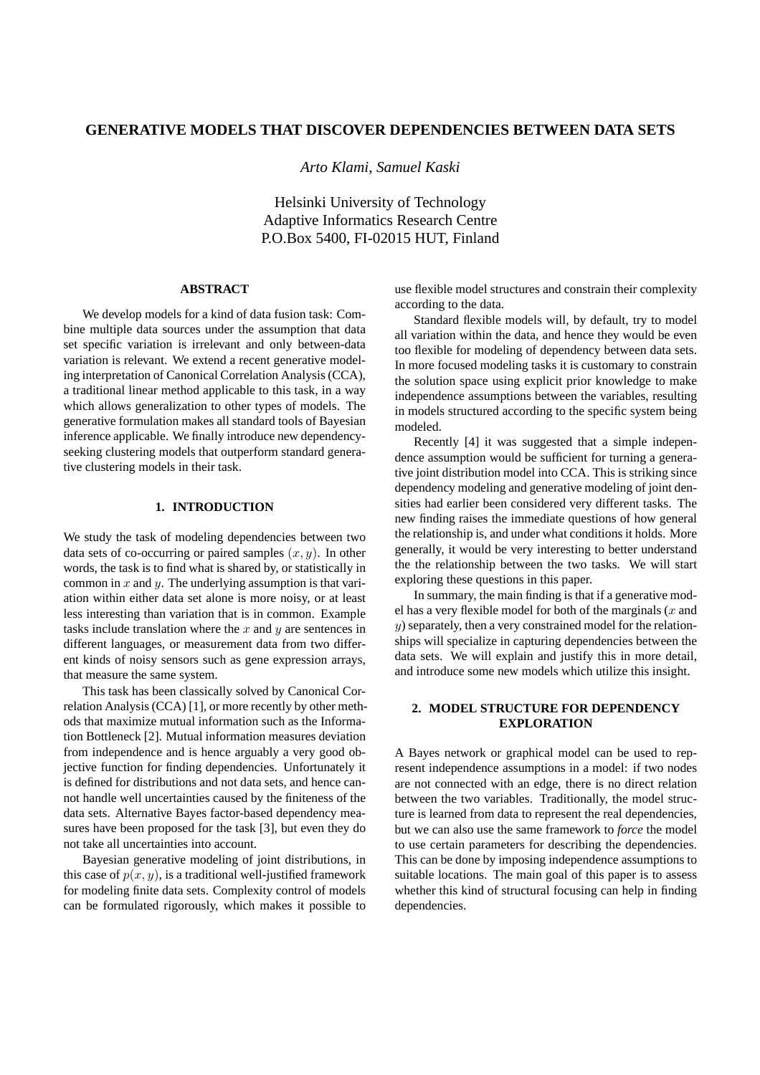# **GENERATIVE MODELS THAT DISCOVER DEPENDENCIES BETWEEN DATA SETS**

*Arto Klami, Samuel Kaski*

Helsinki University of Technology Adaptive Informatics Research Centre P.O.Box 5400, FI-02015 HUT, Finland

## **ABSTRACT**

We develop models for a kind of data fusion task: Combine multiple data sources under the assumption that data set specific variation is irrelevant and only between-data variation is relevant. We extend a recent generative modeling interpretation of Canonical Correlation Analysis (CCA), a traditional linear method applicable to this task, in a way which allows generalization to other types of models. The generative formulation makes all standard tools of Bayesian inference applicable. We finally introduce new dependencyseeking clustering models that outperform standard generative clustering models in their task.

### **1. INTRODUCTION**

We study the task of modeling dependencies between two data sets of co-occurring or paired samples  $(x, y)$ . In other words, the task is to find what is shared by, or statistically in common in  $x$  and  $y$ . The underlying assumption is that variation within either data set alone is more noisy, or at least less interesting than variation that is in common. Example tasks include translation where the  $x$  and  $y$  are sentences in different languages, or measurement data from two different kinds of noisy sensors such as gene expression arrays, that measure the same system.

This task has been classically solved by Canonical Correlation Analysis (CCA) [1], or more recently by other methods that maximize mutual information such as the Information Bottleneck [2]. Mutual information measures deviation from independence and is hence arguably a very good objective function for finding dependencies. Unfortunately it is defined for distributions and not data sets, and hence cannot handle well uncertainties caused by the finiteness of the data sets. Alternative Bayes factor-based dependency measures have been proposed for the task [3], but even they do not take all uncertainties into account.

Bayesian generative modeling of joint distributions, in this case of  $p(x, y)$ , is a traditional well-justified framework for modeling finite data sets. Complexity control of models can be formulated rigorously, which makes it possible to use flexible model structures and constrain their complexity according to the data.

Standard flexible models will, by default, try to model all variation within the data, and hence they would be even too flexible for modeling of dependency between data sets. In more focused modeling tasks it is customary to constrain the solution space using explicit prior knowledge to make independence assumptions between the variables, resulting in models structured according to the specific system being modeled.

Recently [4] it was suggested that a simple independence assumption would be sufficient for turning a generative joint distribution model into CCA. This is striking since dependency modeling and generative modeling of joint densities had earlier been considered very different tasks. The new finding raises the immediate questions of how general the relationship is, and under what conditions it holds. More generally, it would be very interesting to better understand the the relationship between the two tasks. We will start exploring these questions in this paper.

In summary, the main finding is that if a generative model has a very flexible model for both of the marginals  $(x$  and  $y$ ) separately, then a very constrained model for the relationships will specialize in capturing dependencies between the data sets. We will explain and justify this in more detail, and introduce some new models which utilize this insight.

## **2. MODEL STRUCTURE FOR DEPENDENCY EXPLORATION**

A Bayes network or graphical model can be used to represent independence assumptions in a model: if two nodes are not connected with an edge, there is no direct relation between the two variables. Traditionally, the model structure is learned from data to represent the real dependencies, but we can also use the same framework to *force* the model to use certain parameters for describing the dependencies. This can be done by imposing independence assumptions to suitable locations. The main goal of this paper is to assess whether this kind of structural focusing can help in finding dependencies.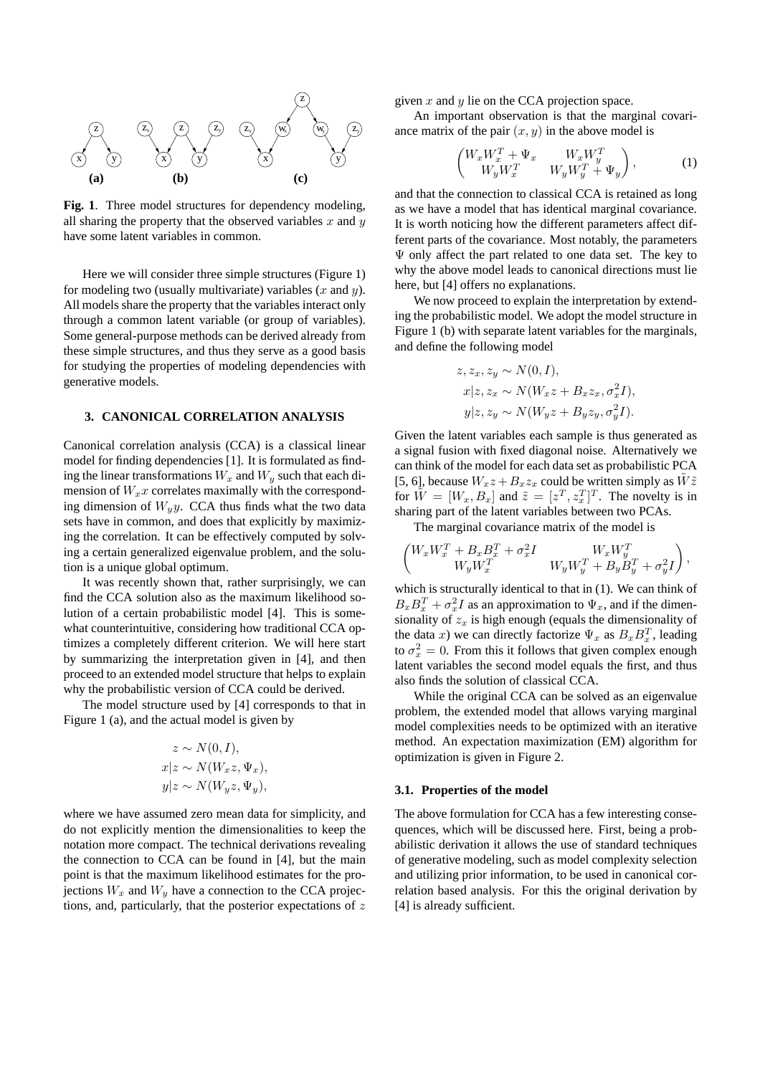

**Fig. 1**. Three model structures for dependency modeling, all sharing the property that the observed variables x and  $y$ have some latent variables in common.

Here we will consider three simple structures (Figure 1) for modeling two (usually multivariate) variables  $(x \text{ and } y)$ . All models share the property that the variables interact only through a common latent variable (or group of variables). Some general-purpose methods can be derived already from these simple structures, and thus they serve as a good basis for studying the properties of modeling dependencies with generative models.

## **3. CANONICAL CORRELATION ANALYSIS**

Canonical correlation analysis (CCA) is a classical linear model for finding dependencies [1]. It is formulated as finding the linear transformations  $W_x$  and  $W_y$  such that each dimension of  $W_x x$  correlates maximally with the corresponding dimension of  $W_y y$ . CCA thus finds what the two data sets have in common, and does that explicitly by maximizing the correlation. It can be effectively computed by solving a certain generalized eigenvalue problem, and the solution is a unique global optimum.

It was recently shown that, rather surprisingly, we can find the CCA solution also as the maximum likelihood solution of a certain probabilistic model [4]. This is somewhat counterintuitive, considering how traditional CCA optimizes a completely different criterion. We will here start by summarizing the interpretation given in [4], and then proceed to an extended model structure that helps to explain why the probabilistic version of CCA could be derived.

The model structure used by [4] corresponds to that in Figure 1 (a), and the actual model is given by

$$
z \sim N(0, I),
$$
  
\n
$$
x|z \sim N(W_x z, \Psi_x),
$$
  
\n
$$
y|z \sim N(W_y z, \Psi_y),
$$

where we have assumed zero mean data for simplicity, and do not explicitly mention the dimensionalities to keep the notation more compact. The technical derivations revealing the connection to CCA can be found in [4], but the main point is that the maximum likelihood estimates for the projections  $W_x$  and  $W_y$  have a connection to the CCA projections, and, particularly, that the posterior expectations of  $z$ 

given  $x$  and  $y$  lie on the CCA projection space.

An important observation is that the marginal covariance matrix of the pair  $(x, y)$  in the above model is

$$
\begin{pmatrix} W_x W_x^T + \Psi_x & W_x W_y^T \\ W_y W_x^T & W_y W_y^T + \Psi_y \end{pmatrix}, \tag{1}
$$

and that the connection to classical CCA is retained as long as we have a model that has identical marginal covariance. It is worth noticing how the different parameters affect different parts of the covariance. Most notably, the parameters  $\Psi$  only affect the part related to one data set. The key to why the above model leads to canonical directions must lie here, but [4] offers no explanations.

We now proceed to explain the interpretation by extending the probabilistic model. We adopt the model structure in Figure 1 (b) with separate latent variables for the marginals, and define the following model

$$
z, z_x, z_y \sim N(0, I),
$$
  
\n
$$
x|z, z_x \sim N(W_x z + B_x z_x, \sigma_x^2 I),
$$
  
\n
$$
y|z, z_y \sim N(W_y z + B_y z_y, \sigma_y^2 I).
$$

Given the latent variables each sample is thus generated as a signal fusion with fixed diagonal noise. Alternatively we can think of the model for each data set as probabilistic PCA [5, 6], because  $W_xz + B_xz_x$  could be written simply as  $\tilde{W}\tilde{z}$ for  $\tilde{W} = [W_x, B_x]$  and  $\tilde{z} = [z^T, z_x^T]^T$ . The novelty is in sharing part of the latent variables between two PCAs.

The marginal covariance matrix of the model is

$$
\begin{pmatrix} W_x W_x^T + B_x B_x^T + \sigma_x^2 I & W_x W_y^T \\ W_y W_x^T & W_y W_y^T + B_y B_y^T + \sigma_y^2 I \end{pmatrix},
$$

which is structurally identical to that in (1). We can think of  $B_x B_x^T + \sigma_x^2 I$  as an approximation to  $\Psi_x$ , and if the dimensionality of  $z_x$  is high enough (equals the dimensionality of the data x) we can directly factorize  $\Psi_x$  as  $B_x B_x^T$ , leading to  $\sigma_x^2 = 0$ . From this it follows that given complex enough latent variables the second model equals the first, and thus also finds the solution of classical CCA.

While the original CCA can be solved as an eigenvalue problem, the extended model that allows varying marginal model complexities needs to be optimized with an iterative method. An expectation maximization (EM) algorithm for optimization is given in Figure 2.

### **3.1. Properties of the model**

The above formulation for CCA has a few interesting consequences, which will be discussed here. First, being a probabilistic derivation it allows the use of standard techniques of generative modeling, such as model complexity selection and utilizing prior information, to be used in canonical correlation based analysis. For this the original derivation by [4] is already sufficient.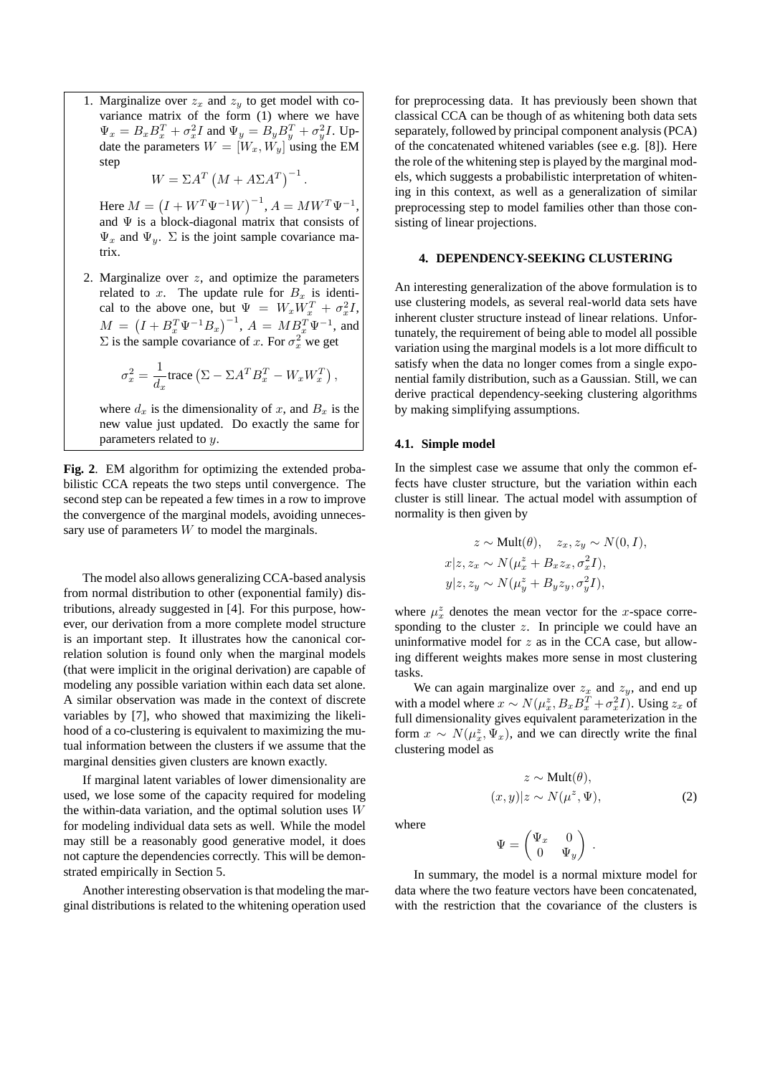1. Marginalize over  $z_x$  and  $z_y$  to get model with covariance matrix of the form (1) where we have  $\Psi_x = B_x B_x^T + \sigma_x^2 I$  and  $\Psi_y = B_y B_y^T + \sigma_y^2 I$ . Update the parameters  $W = [W_x, W_y]$  using the EM step

 $W = \Sigma A^T (M + A\Sigma A^T)^{-1}.$ 

Here  $M = (I + W^T \Psi^{-1} W)^{-1}$ ,  $A = M W^T \Psi^{-1}$ , and  $\Psi$  is a block-diagonal matrix that consists of  $\Psi_x$  and  $\Psi_y$ .  $\Sigma$  is the joint sample covariance matrix.

2. Marginalize over  $z$ , and optimize the parameters related to x. The update rule for  $B_x$  is identical to the above one, but  $\Psi = W_x \overline{W_x^T} + \sigma_x^2 I$ ,  $M = (I + B_x^T \Psi^{-1} B_x)^{-1}, A = M B_x^T \Psi^{-1},$  and  $\Sigma$  is the sample covariance of x. For  $\sigma_x^2$  we get

$$
\sigma_x^2 = \frac{1}{d_x}\text{trace}\left(\Sigma - \Sigma A^T B_x^T - W_x W_x^T\right),
$$

where  $d_x$  is the dimensionality of x, and  $B_x$  is the new value just updated. Do exactly the same for parameters related to y.

Fig. 2. EM algorithm for optimizing the extended probabilistic CCA repeats the two steps until convergence. The second step can be repeated a few times in a row to improve the convergence of the marginal models, avoiding unnecessary use of parameters  $W$  to model the marginals.

The model also allows generalizing CCA-based analysis from normal distribution to other (exponential family) distributions, already suggested in [4]. For this purpose, however, our derivation from a more complete model structure is an important step. It illustrates how the canonical correlation solution is found only when the marginal models (that were implicit in the original derivation) are capable of modeling any possible variation within each data set alone. A similar observation was made in the context of discrete variables by [7], who showed that maximizing the likelihood of a co-clustering is equivalent to maximizing the mutual information between the clusters if we assume that the marginal densities given clusters are known exactly.

If marginal latent variables of lower dimensionality are used, we lose some of the capacity required for modeling the within-data variation, and the optimal solution uses  $W$ for modeling individual data sets as well. While the model may still be a reasonably good generative model, it does not capture the dependencies correctly. This will be demonstrated empirically in Section 5.

Another interesting observation is that modeling the marginal distributions is related to the whitening operation used

for preprocessing data. It has previously been shown that classical CCA can be though of as whitening both data sets separately, followed by principal component analysis (PCA) of the concatenated whitened variables (see e.g. [8]). Here the role of the whitening step is played by the marginal models, which suggests a probabilistic interpretation of whitening in this context, as well as a generalization of similar preprocessing step to model families other than those consisting of linear projections.

## **4. DEPENDENCY-SEEKING CLUSTERING**

An interesting generalization of the above formulation is to use clustering models, as several real-world data sets have inherent cluster structure instead of linear relations. Unfortunately, the requirement of being able to model all possible variation using the marginal models is a lot more difficult to satisfy when the data no longer comes from a single exponential family distribution, such as a Gaussian. Still, we can derive practical dependency-seeking clustering algorithms by making simplifying assumptions.

#### **4.1. Simple model**

In the simplest case we assume that only the common effects have cluster structure, but the variation within each cluster is still linear. The actual model with assumption of normality is then given by

$$
z \sim \text{Mult}(\theta), \quad z_x, z_y \sim N(0, I),
$$
  
\n
$$
x|z, z_x \sim N(\mu_x^z + B_x z_x, \sigma_x^2 I),
$$
  
\n
$$
y|z, z_y \sim N(\mu_y^z + B_y z_y, \sigma_y^2 I),
$$

where  $\mu_x^z$  denotes the mean vector for the x-space corresponding to the cluster  $z$ . In principle we could have an uninformative model for  $z$  as in the CCA case, but allowing different weights makes more sense in most clustering tasks.

We can again marginalize over  $z_x$  and  $z_y$ , and end up with a model where  $x \sim N(\mu_x^z, B_x B_x^T + \sigma_x^2 I)$ . Using  $z_x$  of full dimensionality gives equivalent parameterization in the form  $x \sim N(\mu_x^z, \Psi_x)$ , and we can directly write the final clustering model as

$$
z \sim \text{Mult}(\theta),
$$
  
(x, y)|z \sim N(\mu^z, \Psi), (2)

where

$$
\Psi = \begin{pmatrix} \Psi_x & 0 \\ 0 & \Psi_y \end{pmatrix} \; .
$$

In summary, the model is a normal mixture model for data where the two feature vectors have been concatenated, with the restriction that the covariance of the clusters is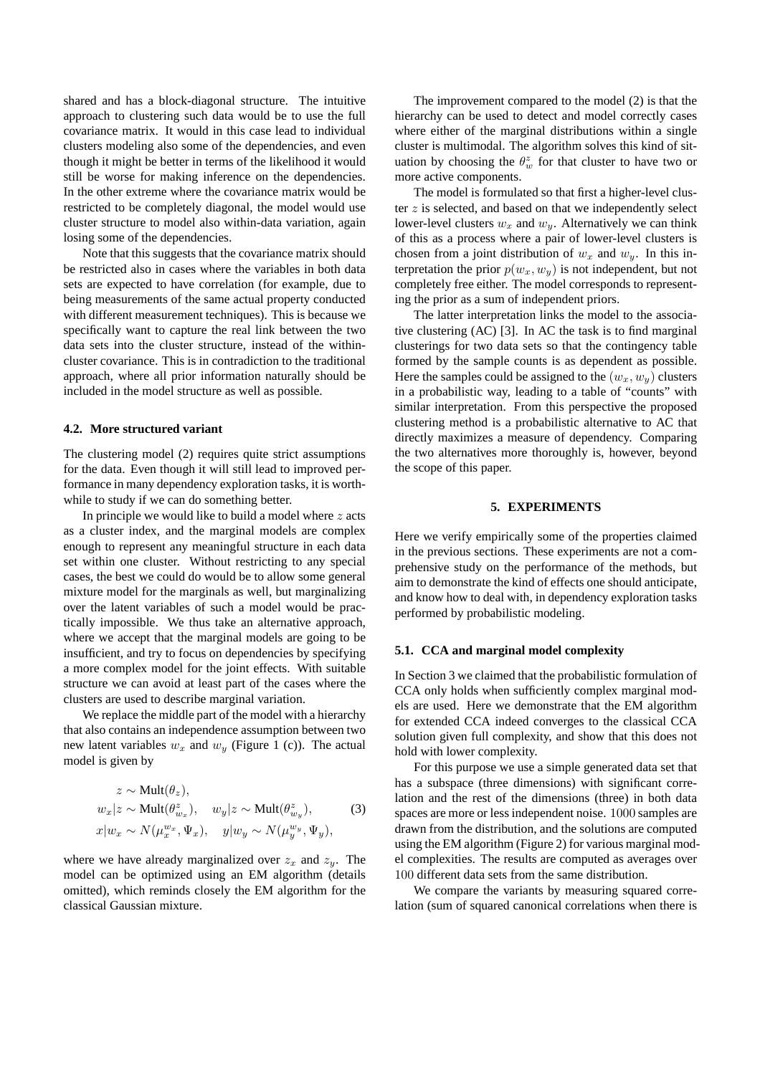shared and has a block-diagonal structure. The intuitive approach to clustering such data would be to use the full covariance matrix. It would in this case lead to individual clusters modeling also some of the dependencies, and even though it might be better in terms of the likelihood it would still be worse for making inference on the dependencies. In the other extreme where the covariance matrix would be restricted to be completely diagonal, the model would use cluster structure to model also within-data variation, again losing some of the dependencies.

Note that this suggests that the covariance matrix should be restricted also in cases where the variables in both data sets are expected to have correlation (for example, due to being measurements of the same actual property conducted with different measurement techniques). This is because we specifically want to capture the real link between the two data sets into the cluster structure, instead of the withincluster covariance. This is in contradiction to the traditional approach, where all prior information naturally should be included in the model structure as well as possible.

### **4.2. More structured variant**

The clustering model (2) requires quite strict assumptions for the data. Even though it will still lead to improved performance in many dependency exploration tasks, it is worthwhile to study if we can do something better.

In principle we would like to build a model where  $z$  acts as a cluster index, and the marginal models are complex enough to represent any meaningful structure in each data set within one cluster. Without restricting to any special cases, the best we could do would be to allow some general mixture model for the marginals as well, but marginalizing over the latent variables of such a model would be practically impossible. We thus take an alternative approach, where we accept that the marginal models are going to be insufficient, and try to focus on dependencies by specifying a more complex model for the joint effects. With suitable structure we can avoid at least part of the cases where the clusters are used to describe marginal variation.

We replace the middle part of the model with a hierarchy that also contains an independence assumption between two new latent variables  $w_x$  and  $w_y$  (Figure 1 (c)). The actual model is given by

$$
z \sim \text{Mult}(\theta_z),
$$
  
\n
$$
w_x | z \sim \text{Mult}(\theta_{w_x}^z), \quad w_y | z \sim \text{Mult}(\theta_{w_y}^z),
$$
  
\n
$$
x | w_x \sim N(\mu_x^{w_x}, \Psi_x), \quad y | w_y \sim N(\mu_y^{w_y}, \Psi_y),
$$
  
\n(3)

where we have already marginalized over  $z_x$  and  $z_y$ . The model can be optimized using an EM algorithm (details omitted), which reminds closely the EM algorithm for the classical Gaussian mixture.

The improvement compared to the model (2) is that the hierarchy can be used to detect and model correctly cases where either of the marginal distributions within a single cluster is multimodal. The algorithm solves this kind of situation by choosing the  $\theta_w^z$  for that cluster to have two or more active components.

The model is formulated so that first a higher-level cluster  $z$  is selected, and based on that we independently select lower-level clusters  $w_x$  and  $w_y$ . Alternatively we can think of this as a process where a pair of lower-level clusters is chosen from a joint distribution of  $w_x$  and  $w_y$ . In this interpretation the prior  $p(w_x, w_y)$  is not independent, but not completely free either. The model corresponds to representing the prior as a sum of independent priors.

The latter interpretation links the model to the associative clustering (AC) [3]. In AC the task is to find marginal clusterings for two data sets so that the contingency table formed by the sample counts is as dependent as possible. Here the samples could be assigned to the  $(w_x, w_y)$  clusters in a probabilistic way, leading to a table of "counts" with similar interpretation. From this perspective the proposed clustering method is a probabilistic alternative to AC that directly maximizes a measure of dependency. Comparing the two alternatives more thoroughly is, however, beyond the scope of this paper.

#### **5. EXPERIMENTS**

Here we verify empirically some of the properties claimed in the previous sections. These experiments are not a comprehensive study on the performance of the methods, but aim to demonstrate the kind of effects one should anticipate, and know how to deal with, in dependency exploration tasks performed by probabilistic modeling.

#### **5.1. CCA and marginal model complexity**

In Section 3 we claimed that the probabilistic formulation of CCA only holds when sufficiently complex marginal models are used. Here we demonstrate that the EM algorithm for extended CCA indeed converges to the classical CCA solution given full complexity, and show that this does not hold with lower complexity.

For this purpose we use a simple generated data set that has a subspace (three dimensions) with significant correlation and the rest of the dimensions (three) in both data spaces are more or less independent noise. 1000 samples are drawn from the distribution, and the solutions are computed using the EM algorithm (Figure 2) for various marginal model complexities. The results are computed as averages over 100 different data sets from the same distribution.

We compare the variants by measuring squared correlation (sum of squared canonical correlations when there is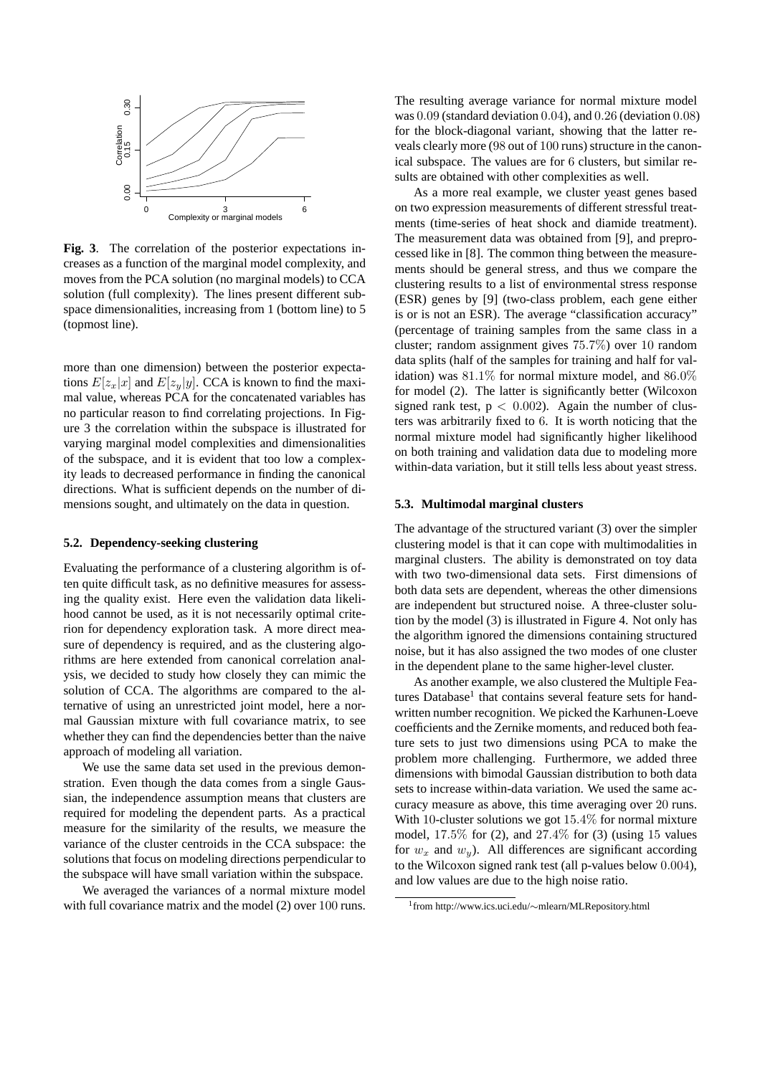

**Fig. 3**. The correlation of the posterior expectations increases as a function of the marginal model complexity, and moves from the PCA solution (no marginal models) to CCA solution (full complexity). The lines present different subspace dimensionalities, increasing from 1 (bottom line) to 5 (topmost line).

more than one dimension) between the posterior expectations  $E[z_x|x]$  and  $E[z_y|y]$ . CCA is known to find the maximal value, whereas PCA for the concatenated variables has no particular reason to find correlating projections. In Figure 3 the correlation within the subspace is illustrated for varying marginal model complexities and dimensionalities of the subspace, and it is evident that too low a complexity leads to decreased performance in finding the canonical directions. What is sufficient depends on the number of dimensions sought, and ultimately on the data in question.

#### **5.2. Dependency-seeking clustering**

Evaluating the performance of a clustering algorithm is often quite difficult task, as no definitive measures for assessing the quality exist. Here even the validation data likelihood cannot be used, as it is not necessarily optimal criterion for dependency exploration task. A more direct measure of dependency is required, and as the clustering algorithms are here extended from canonical correlation analysis, we decided to study how closely they can mimic the solution of CCA. The algorithms are compared to the alternative of using an unrestricted joint model, here a normal Gaussian mixture with full covariance matrix, to see whether they can find the dependencies better than the naive approach of modeling all variation.

We use the same data set used in the previous demonstration. Even though the data comes from a single Gaussian, the independence assumption means that clusters are required for modeling the dependent parts. As a practical measure for the similarity of the results, we measure the variance of the cluster centroids in the CCA subspace: the solutions that focus on modeling directions perpendicular to the subspace will have small variation within the subspace.

We averaged the variances of a normal mixture model with full covariance matrix and the model (2) over 100 runs. The resulting average variance for normal mixture model was 0.09 (standard deviation 0.04), and 0.26 (deviation 0.08) for the block-diagonal variant, showing that the latter reveals clearly more (98 out of 100 runs) structure in the canonical subspace. The values are for 6 clusters, but similar results are obtained with other complexities as well.

As a more real example, we cluster yeast genes based on two expression measurements of different stressful treatments (time-series of heat shock and diamide treatment). The measurement data was obtained from [9], and preprocessed like in [8]. The common thing between the measurements should be general stress, and thus we compare the clustering results to a list of environmental stress response (ESR) genes by [9] (two-class problem, each gene either is or is not an ESR). The average "classification accuracy" (percentage of training samples from the same class in a cluster; random assignment gives 75.7%) over 10 random data splits (half of the samples for training and half for validation) was  $81.1\%$  for normal mixture model, and  $86.0\%$ for model (2). The latter is significantly better (Wilcoxon signed rank test,  $p < 0.002$ ). Again the number of clusters was arbitrarily fixed to 6. It is worth noticing that the normal mixture model had significantly higher likelihood on both training and validation data due to modeling more within-data variation, but it still tells less about yeast stress.

#### **5.3. Multimodal marginal clusters**

The advantage of the structured variant (3) over the simpler clustering model is that it can cope with multimodalities in marginal clusters. The ability is demonstrated on toy data with two two-dimensional data sets. First dimensions of both data sets are dependent, whereas the other dimensions are independent but structured noise. A three-cluster solution by the model (3) is illustrated in Figure 4. Not only has the algorithm ignored the dimensions containing structured noise, but it has also assigned the two modes of one cluster in the dependent plane to the same higher-level cluster.

As another example, we also clustered the Multiple Features Database<sup>1</sup> that contains several feature sets for handwritten number recognition. We picked the Karhunen-Loeve coefficients and the Zernike moments, and reduced both feature sets to just two dimensions using PCA to make the problem more challenging. Furthermore, we added three dimensions with bimodal Gaussian distribution to both data sets to increase within-data variation. We used the same accuracy measure as above, this time averaging over 20 runs. With 10-cluster solutions we got  $15.4\%$  for normal mixture model,  $17.5\%$  for (2), and  $27.4\%$  for (3) (using 15 values for  $w_x$  and  $w_y$ ). All differences are significant according to the Wilcoxon signed rank test (all p-values below 0.004), and low values are due to the high noise ratio.

<sup>1</sup> from http://www.ics.uci.edu/∼mlearn/MLRepository.html